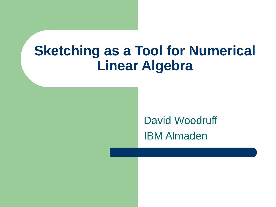# **Sketching as a Tool for Numerical Linear Algebra**

David Woodruff IBM Almaden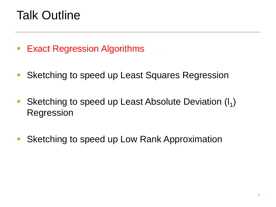## Talk Outline

- **Exact Regression Algorithms**
- **Sketching to speed up Least Squares Regression**
- Sketching to speed up Least Absolute Deviation (I<sub>1</sub>) Regression
- Sketching to speed up Low Rank Approximation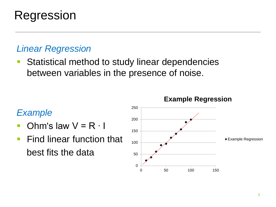## Regression

### *Linear Regression*

 Statistical method to study linear dependencies between variables in the presence of noise.

#### *Example*

- Ohm's law  $V = R \cdot I$
- **Find linear function that** best fits the data

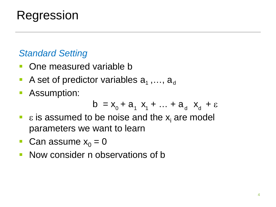## Regression

### *Standard Setting*

- **One measured variable b**
- A set of predictor variables  $a_1$ ,...,  $a_d$
- **Assumption:**

$$
b = x_0 + a_1 x_1 + \dots + a_d x_d + \varepsilon
$$

- $\epsilon$  is assumed to be noise and the x<sub>i</sub> are model parameters we want to learn
- **Can assume**  $x_0 = 0$
- **Now consider n observations of b**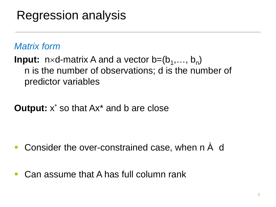## Regression analysis

### *Matrix form*

**Input:**  $n \times d$ -matrix A and a vector  $b=(b_1,..., b_n)$ n is the number of observations; d is the number of predictor variables

### **Output:** x<sup>\*</sup> so that Ax<sup>\*</sup> and b are close

- Consider the over-constrained case, when n À d
- Can assume that A has full column rank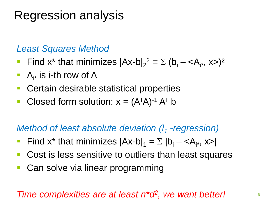## Regression analysis

#### *Least Squares Method*

- Find x<sup>\*</sup> that minimizes  $|Ax-b|_2^2 = \sum (b_i \langle A_{i^*}, x \rangle)^2$
- A<sub>i\*</sub> is i-th row of A
- Certain desirable statistical properties
- Closed form solution:  $x = (A^{T}A)^{-1} A^{T} b$

### *Method of least absolute deviation (I<sub>1</sub> -regression)*

- Find x<sup>\*</sup> that minimizes  $|Ax-b|_1 = \sum |b_i \langle A_{i*}, x \rangle|$
- Cost is less sensitive to outliers than least squares
- Can solve via linear programming

#### *Time complexities are at least n\*d2, we want better!*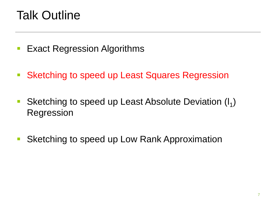## Talk Outline

- **Exact Regression Algorithms**
- **Sketching to speed up Least Squares Regression**
- Sketching to speed up Least Absolute Deviation (I<sub>1</sub>) Regression
- Sketching to speed up Low Rank Approximation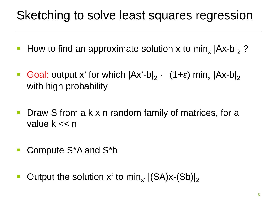## Sketching to solve least squares regression

- How to find an approximate solution x to min,  $|Ax-b|_2$  ?
- Goal: output x' for which  $|Ax'-b|_2$  ·  $(1+\epsilon)$  min<sub>x</sub>  $|Ax-b|_2$ with high probability
- **Draw S from a k x n random family of matrices, for a** value k << n
- Compute S<sup>\*</sup>A and S<sup>\*</sup>b
- Output the solution x' to min<sub>x'</sub>  $|(SA)x-(Sb)|_2$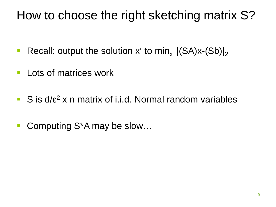## How to choose the right sketching matrix S?

- Recall: output the solution x' to min<sub>x'</sub>  $|(SA)x-(Sb)|_2$
- **Lots of matrices work**
- S is  $d/\epsilon^2$  x n matrix of i.i.d. Normal random variables
- Computing S<sup>\*</sup>A may be slow...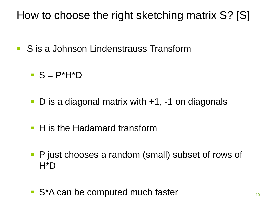### How to choose the right sketching matrix S? [S]

- S is a Johnson Lindenstrauss Transform
	- $S = P^*H^*D$
	- D is a diagonal matrix with +1, -1 on diagonals
	- H is the Hadamard transform
	- **P** just chooses a random (small) subset of rows of H\*D
	- S<sup>\*</sup>A can be computed much faster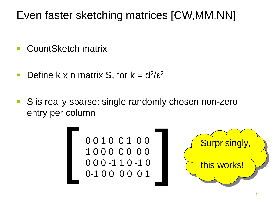### Even faster sketching matrices [CW,MM,NN]

- CountSketch matrix
- Define k x n matrix S, for  $k = d^2/\epsilon^2$
- S is really sparse: single randomly chosen non-zero entry per column

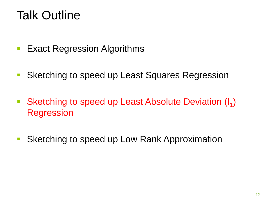## Talk Outline

- **Exact Regression Algorithms**
- **Sketching to speed up Least Squares Regression**
- Sketching to speed up Least Absolute Deviation  $(I_1)$ Regression
- Sketching to speed up Low Rank Approximation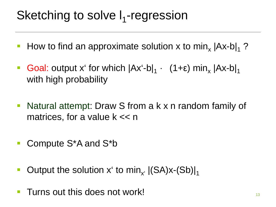## Sketching to solve  $I_1$ -regression

- How to find an approximate solution x to min,  $|Ax-b|_1$  ?
- Goal: output x' for which  $|Ax'-b|_1$  ·  $(1+\epsilon)$  min<sub>x</sub>  $|Ax-b|_1$ with high probability
- **Natural attempt: Draw S from a k x n random family of** matrices, for a value  $k \ll n$
- Compute S<sup>\*</sup>A and S<sup>\*</sup>b
- Output the solution x' to min<sub>x'</sub>  $|(SA)x-(Sb)|_1$
- **Turns out this does not work!**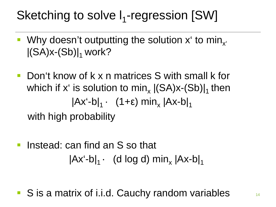## Sketching to solve  $I_1$ -regression [SW]

- Why doesn't outputting the solution  $x^r$  to min<sub>x</sub>  $|(SA)x-(Sb)|_1$  work?
- **Don't know of k x n matrices S with small k for** which if x' is solution to min,  $|(SA)x-(Sb)|_1$  then  $|Ax'-b|_1$  ·  $(1+\epsilon)$  min<sub>x</sub>  $|Ax-b|_1$ with high probability
- Instead: can find an S so that  $|Ax'-b|_1$  · (d log d) min<sub>y</sub>  $|Ax-b|_1$

S is a matrix of i.i.d. Cauchy random variables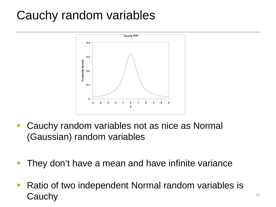## Cauchy random variables



- **Cauchy random variables not as nice as Normal** (Gaussian) random variables
- **They don't have a mean and have infinite variance**
- Ratio of two independent Normal random variables is Cauchy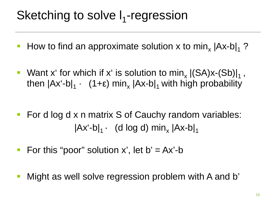## Sketching to solve  $I_1$ -regression

- How to find an approximate solution x to min,  $|Ax-b|_1$  ?
- Want x' for which if x' is solution to min,  $|(SA)x-(Sb)|_1$ , then  $|Ax'-b|_1$  · (1+ε) min<sub>x</sub>  $|Ax-b|_1$  with high probability
- For d log d x n matrix S of Cauchy random variables:  $|Ax'-b|_1 \cdot$  (d log d) min<sub>y</sub>  $|Ax-b|_1$
- For this "poor" solution x', let  $b' = Ax'-b$
- Might as well solve regression problem with A and b'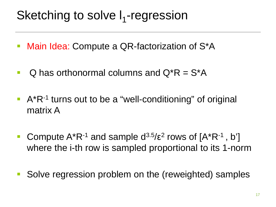## Sketching to solve  $I_1$ -regression

- **Nain Idea: Compute a QR-factorization of S\*A**
- $Q$  has orthonormal columns and  $Q^*R = S^*A$
- $A^*R^{-1}$  turns out to be a "well-conditioning" of original matrix A
- **Compute A\*R-1 and sample**  $d^{3.5}/\epsilon^2$  **rows of**  $[A^*R^{-1}, b']$ where the i-th row is sampled proportional to its 1-norm
- **Solve regression problem on the (reweighted) samples**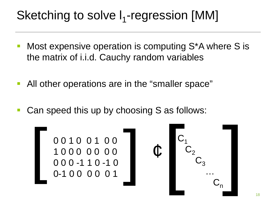## Sketching to solve  $I_1$ -regression [MM]

- Most expensive operation is computing S\*A where S is the matrix of i.i.d. Cauchy random variables
- All other operations are in the "smaller space"
- Can speed this up by choosing S as follows:

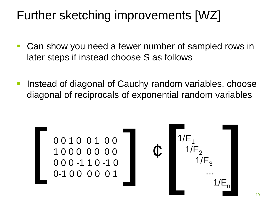## Further sketching improvements [WZ]

- Can show you need a fewer number of sampled rows in later steps if instead choose S as follows
- Instead of diagonal of Cauchy random variables, choose diagonal of reciprocals of exponential random variables

[ 0 0 1 0 0 1 0 0 [ 1 0 0 0 0 0 0 0 0 0 0 -1 1 0 -1 0 0-1 0 0 0 0 0 1 ¢ [ [ 1/E1 1/E2 1/E3 … 1/En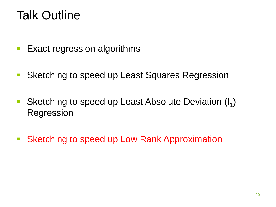## Talk Outline

- **Exact regression algorithms**
- **Sketching to speed up Least Squares Regression**
- Sketching to speed up Least Absolute Deviation (I<sub>1</sub>) Regression
- **Sketching to speed up Low Rank Approximation**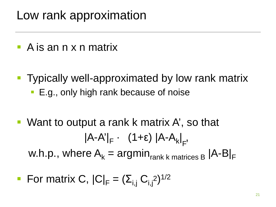## Low rank approximation

- A is an n x n matrix
- **Typically well-approximated by low rank matrix** 
	- **E.g., only high rank because of noise**
- Want to output a rank k matrix A', so that |A-A'|<sub>F</sub> • (1+ε) |A-A<sub>k</sub>|<sub>F</sub> .<br>., w.h.p., where  $A_k = \text{argmin}_{\text{rank } k \text{ matrices } B} |A-B|_F$
- **For matrix C,**  $|C|_F = (\Sigma_{i,j} C_{i,j^2})^{1/2}$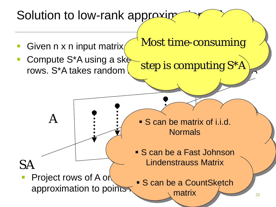### 22 Solution to low-rank approxime Given  $n \times n$  input matrix Compute S\*A using a sketching with  $\mathsf{Compute}$ rows. S<sup>\*</sup>A takes random SA A Project rows of A on approximation to points Most time-consuming step is computing S\*A **S** can be matrix of i.i.d. **Normals S** can be a Fast Johnson Lindenstrauss Matrix **S** can be a CountSketch matrix